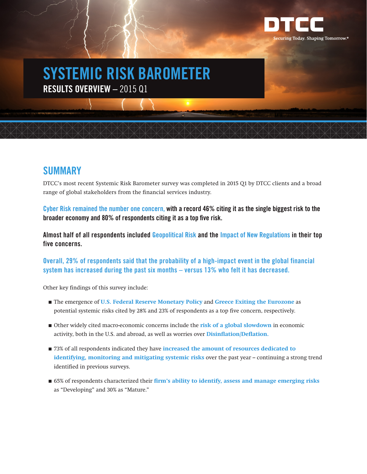

# **SYSTEMIC RISK BAROMETER RESULTS OVERVIEW –** 2015 Q1

### **SUMMARY**

DTCC's most recent Systemic Risk Barometer survey was completed in 2015 Q1 by DTCC clients and a broad range of global stakeholders from the financial services industry.

**Cyber Risk remained the number one concern, with a record 46% citing it as the single biggest risk to the broader economy and 80% of respondents citing it as a top five risk.** 

**Almost half of all respondents included Geopolitical Risk and the Impact of New Regulations in their top five concerns.**

**Overall, 29% of respondents said that the probability of a high-impact event in the global financial system has increased during the past six months – versus 13% who felt it has decreased.**

Other key findings of this survey include:

- The emergence of **U.S. Federal Reserve Monetary Policy** and Greece Exiting the Eurozone as potential systemic risks cited by 28% and 23% of respondents as a top five concern, respectively.
- Other widely cited macro-economic concerns include the **risk of a global slowdown** in economic activity, both in the U.S. and abroad, as well as worries over **Disinflation/Deflation.**
- 73% of all respondents indicated they have **increased the amount of resources dedicated to identifying, monitoring and mitigating systemic risks** over the past year – continuing a strong trend identified in previous surveys.
- 65% of respondents characterized their **firm's ability to identify, assess and manage emerging risks** as "Developing" and 30% as "Mature."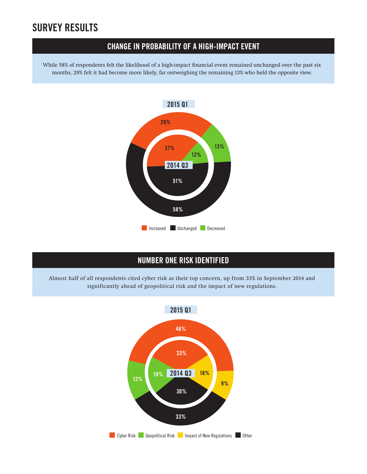## **SURVEY RESULTS**

#### **CHANGE IN PROBABILITY OF A HIGH-IMPACT EVENT**

while 58% of respondents felt the likelihood of a high-impact financial event remained unchanged over the past six months, 29% felt it had become more likely, far outweighing the remaining 13% who held the opposite view.



#### **NUMBER ONE RISK IDENTIFIED**

Almost half of all respondents cited cyber risk as their top concern, up from 33% in September 2014 and significantly ahead of geopolitical risk and the impact of new regulations.

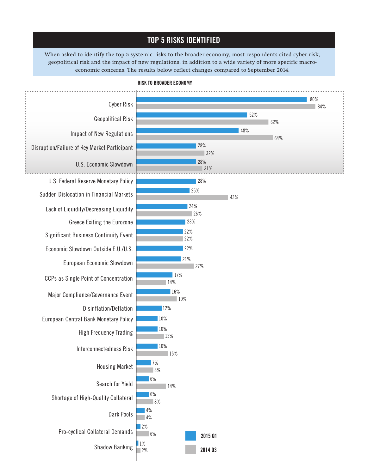#### **TOP 5 RISKS IDENTIFIED**

**RISKS TO BROADER ECONOMY** economic concerns. The results below reflect changes compared to September 2014. When asked to identify the top 5 systemic risks to the broader economy, most respondents cited cyber risk, geopolitical risk and the impact of new regulations, in addition to a wide variety of more specific macro-



#### **RISK TO BROADER ECONOMY**